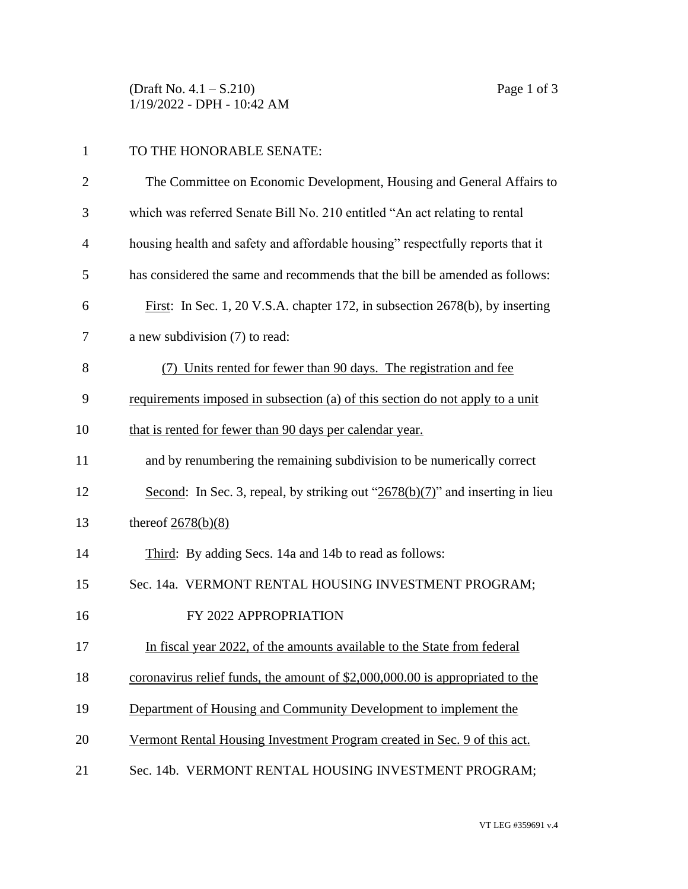(Draft No. 4.1 – S.210) Page 1 of 3 1/19/2022 - DPH - 10:42 AM

## 1 TO THE HONORABLE SENATE:

| $\overline{2}$ | The Committee on Economic Development, Housing and General Affairs to          |
|----------------|--------------------------------------------------------------------------------|
| 3              | which was referred Senate Bill No. 210 entitled "An act relating to rental     |
| $\overline{4}$ | housing health and safety and affordable housing" respectfully reports that it |
| 5              | has considered the same and recommends that the bill be amended as follows:    |
| 6              | First: In Sec. 1, 20 V.S.A. chapter 172, in subsection 2678(b), by inserting   |
| 7              | a new subdivision (7) to read:                                                 |
| 8              | (7) Units rented for fewer than 90 days. The registration and fee              |
| 9              | requirements imposed in subsection (a) of this section do not apply to a unit  |
| 10             | that is rented for fewer than 90 days per calendar year.                       |
| 11             | and by renumbering the remaining subdivision to be numerically correct         |
| 12             | Second: In Sec. 3, repeal, by striking out "2678(b)(7)" and inserting in lieu  |
| 13             | thereof $2678(b)(8)$                                                           |
| 14             | Third: By adding Secs. 14a and 14b to read as follows:                         |
| 15             | Sec. 14a. VERMONT RENTAL HOUSING INVESTMENT PROGRAM;                           |
| 16             | FY 2022 APPROPRIATION                                                          |
| 17             | In fiscal year 2022, of the amounts available to the State from federal        |
| 18             | coronavirus relief funds, the amount of \$2,000,000.00 is appropriated to the  |
| 19             | Department of Housing and Community Development to implement the               |
| 20             | Vermont Rental Housing Investment Program created in Sec. 9 of this act.       |
| 21             | Sec. 14b. VERMONT RENTAL HOUSING INVESTMENT PROGRAM;                           |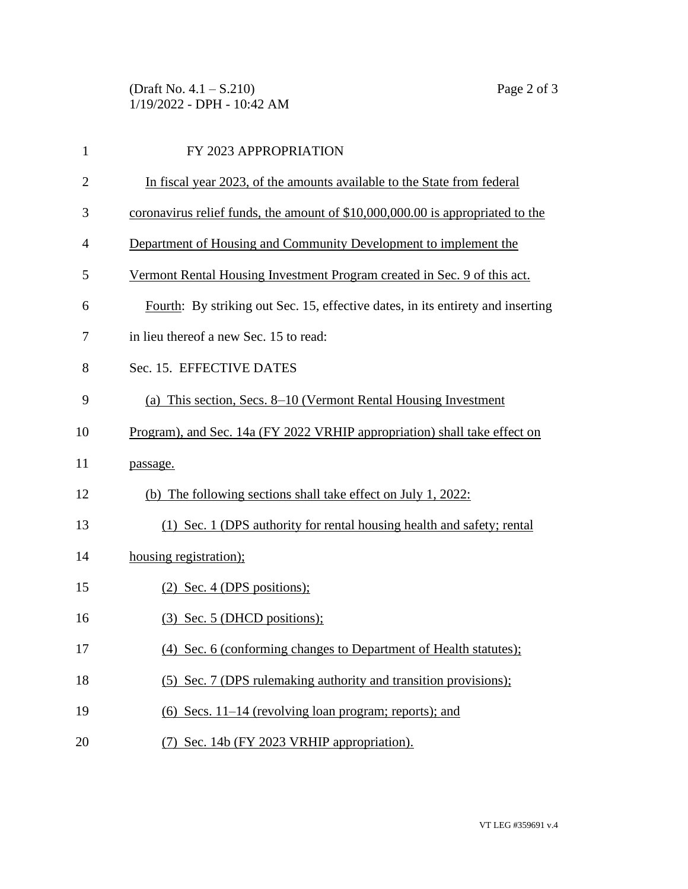(Draft No. 4.1 – S.210) Page 2 of 3 1/19/2022 - DPH - 10:42 AM

| $\mathbf{1}$   | FY 2023 APPROPRIATION                                                           |
|----------------|---------------------------------------------------------------------------------|
| $\overline{2}$ | In fiscal year 2023, of the amounts available to the State from federal         |
| 3              | coronavirus relief funds, the amount of \$10,000,000.00 is appropriated to the  |
| 4              | Department of Housing and Community Development to implement the                |
| 5              | Vermont Rental Housing Investment Program created in Sec. 9 of this act.        |
| 6              | Fourth: By striking out Sec. 15, effective dates, in its entirety and inserting |
| 7              | in lieu thereof a new Sec. 15 to read:                                          |
| 8              | Sec. 15. EFFECTIVE DATES                                                        |
| 9              | (a) This section, Secs. 8–10 (Vermont Rental Housing Investment                 |
| 10             | Program), and Sec. 14a (FY 2022 VRHIP appropriation) shall take effect on       |
| 11             | passage.                                                                        |
| 12             | (b) The following sections shall take effect on July 1, 2022:                   |
| 13             | (1) Sec. 1 (DPS authority for rental housing health and safety; rental          |
| 14             | housing registration);                                                          |
| 15             | $(2)$ Sec. 4 (DPS positions);                                                   |
| 16             | $(3)$ Sec. 5 (DHCD positions);                                                  |
| 17             | (4) Sec. 6 (conforming changes to Department of Health statutes);               |
| 18             | (5) Sec. 7 (DPS rulemaking authority and transition provisions);                |
| 19             | $(6)$ Secs. 11–14 (revolving loan program; reports); and                        |
| 20             | (7) Sec. 14b (FY 2023 VRHIP appropriation).                                     |